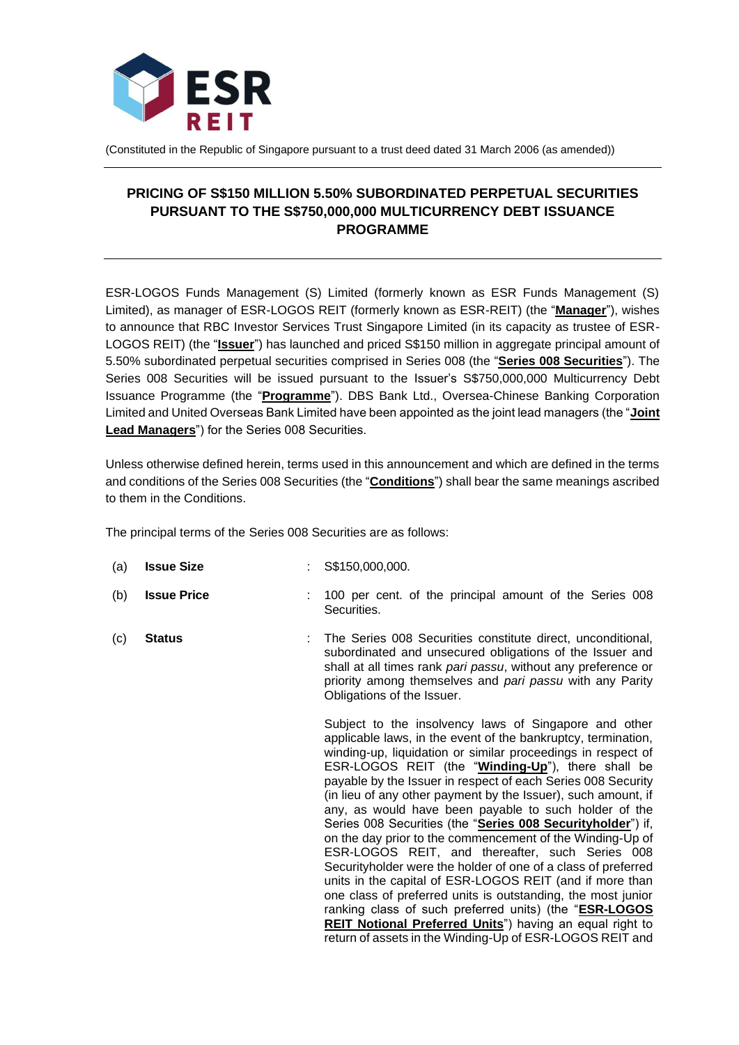

(Constituted in the Republic of Singapore pursuant to a trust deed dated 31 March 2006 (as amended))

# **PRICING OF S\$150 MILLION 5.50% SUBORDINATED PERPETUAL SECURITIES PURSUANT TO THE S\$750,000,000 MULTICURRENCY DEBT ISSUANCE PROGRAMME**

ESR-LOGOS Funds Management (S) Limited (formerly known as ESR Funds Management (S) Limited), as manager of ESR-LOGOS REIT (formerly known as ESR-REIT) (the "**Manager**"), wishes to announce that RBC Investor Services Trust Singapore Limited (in its capacity as trustee of ESR-LOGOS REIT) (the "**Issuer**") has launched and priced S\$150 million in aggregate principal amount of 5.50% subordinated perpetual securities comprised in Series 008 (the "**Series 008 Securities**"). The Series 008 Securities will be issued pursuant to the Issuer's S\$750,000,000 Multicurrency Debt Issuance Programme (the "**Programme**"). DBS Bank Ltd., Oversea-Chinese Banking Corporation Limited and United Overseas Bank Limited have been appointed as the joint lead managers (the "**Joint Lead Managers**") for the Series 008 Securities.

Unless otherwise defined herein, terms used in this announcement and which are defined in the terms and conditions of the Series 008 Securities (the "**Conditions**") shall bear the same meanings ascribed to them in the Conditions.

The principal terms of the Series 008 Securities are as follows:

- (a) **Issue Size** : S\$150,000,000.
- (b) **Issue Price** : 100 per cent. of the principal amount of the Series 008 Securities.
- (c) **Status** : The Series 008 Securities constitute direct, unconditional, subordinated and unsecured obligations of the Issuer and shall at all times rank *pari passu*, without any preference or priority among themselves and *pari passu* with any Parity Obligations of the Issuer.

Subject to the insolvency laws of Singapore and other applicable laws, in the event of the bankruptcy, termination, winding-up, liquidation or similar proceedings in respect of ESR-LOGOS REIT (the "**Winding-Up**"), there shall be payable by the Issuer in respect of each Series 008 Security (in lieu of any other payment by the Issuer), such amount, if any, as would have been payable to such holder of the Series 008 Securities (the "**Series 008 Securityholder**") if, on the day prior to the commencement of the Winding-Up of ESR-LOGOS REIT, and thereafter, such Series 008 Securityholder were the holder of one of a class of preferred units in the capital of ESR-LOGOS REIT (and if more than one class of preferred units is outstanding, the most junior ranking class of such preferred units) (the "**ESR-LOGOS REIT Notional Preferred Units**") having an equal right to return of assets in the Winding-Up of ESR-LOGOS REIT and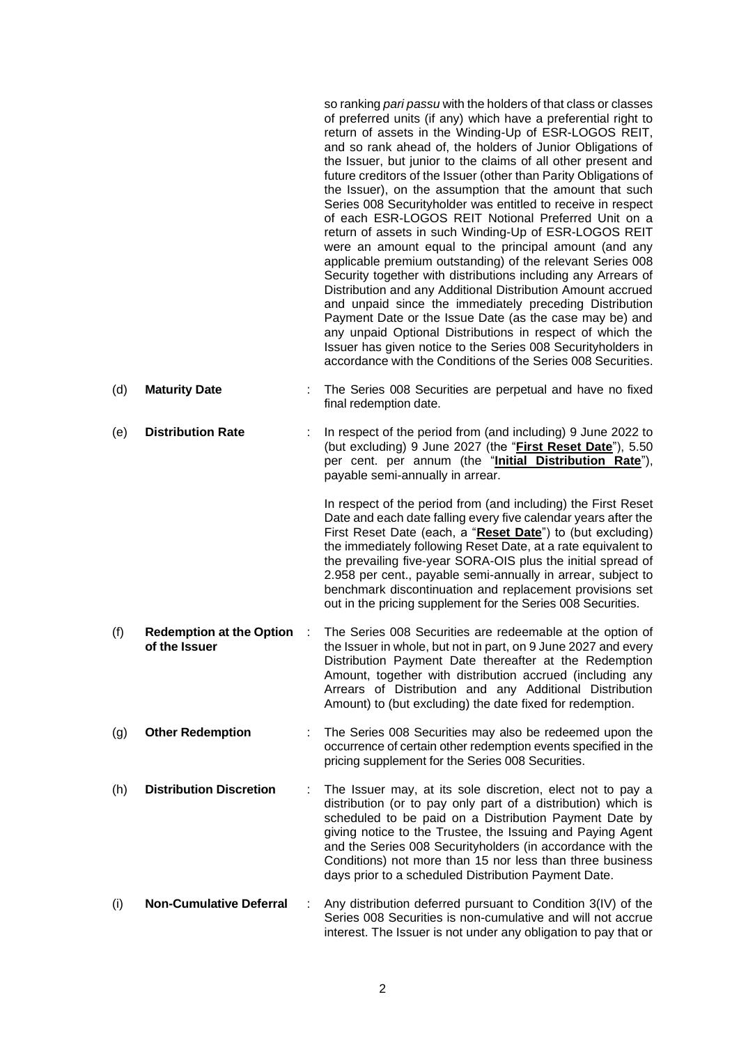so ranking *pari passu* with the holders of that class or classes of preferred units (if any) which have a preferential right to return of assets in the Winding-Up of ESR-LOGOS REIT, and so rank ahead of, the holders of Junior Obligations of the Issuer, but junior to the claims of all other present and future creditors of the Issuer (other than Parity Obligations of the Issuer), on the assumption that the amount that such Series 008 Securityholder was entitled to receive in respect of each ESR-LOGOS REIT Notional Preferred Unit on a return of assets in such Winding-Up of ESR-LOGOS REIT were an amount equal to the principal amount (and any applicable premium outstanding) of the relevant Series 008 Security together with distributions including any Arrears of Distribution and any Additional Distribution Amount accrued and unpaid since the immediately preceding Distribution Payment Date or the Issue Date (as the case may be) and any unpaid Optional Distributions in respect of which the Issuer has given notice to the Series 008 Securityholders in accordance with the Conditions of the Series 008 Securities.

- (d) **Maturity Date** : The Series 008 Securities are perpetual and have no fixed final redemption date.
- (e) **Distribution Rate** : In respect of the period from (and including) 9 June 2022 to (but excluding) 9 June 2027 (the "**First Reset Date**"), 5.50 per cent. per annum (the "**Initial Distribution Rate**"), payable semi-annually in arrear.

In respect of the period from (and including) the First Reset Date and each date falling every five calendar years after the First Reset Date (each, a "**Reset Date**") to (but excluding) the immediately following Reset Date, at a rate equivalent to the prevailing five-year SORA-OIS plus the initial spread of 2.958 per cent., payable semi-annually in arrear, subject to benchmark discontinuation and replacement provisions set out in the pricing supplement for the Series 008 Securities.

- (f) **Redemption at the Option of the Issuer** The Series 008 Securities are redeemable at the option of the Issuer in whole, but not in part, on 9 June 2027 and every Distribution Payment Date thereafter at the Redemption Amount, together with distribution accrued (including any Arrears of Distribution and any Additional Distribution Amount) to (but excluding) the date fixed for redemption.
- (g) **Other Redemption** : The Series 008 Securities may also be redeemed upon the occurrence of certain other redemption events specified in the pricing supplement for the Series 008 Securities.
- (h) **Distribution Discretion** : The Issuer may, at its sole discretion, elect not to pay a distribution (or to pay only part of a distribution) which is scheduled to be paid on a Distribution Payment Date by giving notice to the Trustee, the Issuing and Paying Agent and the Series 008 Securityholders (in accordance with the Conditions) not more than 15 nor less than three business days prior to a scheduled Distribution Payment Date.
- (i) **Non-Cumulative Deferral** : Any distribution deferred pursuant to Condition 3(IV) of the Series 008 Securities is non-cumulative and will not accrue interest. The Issuer is not under any obligation to pay that or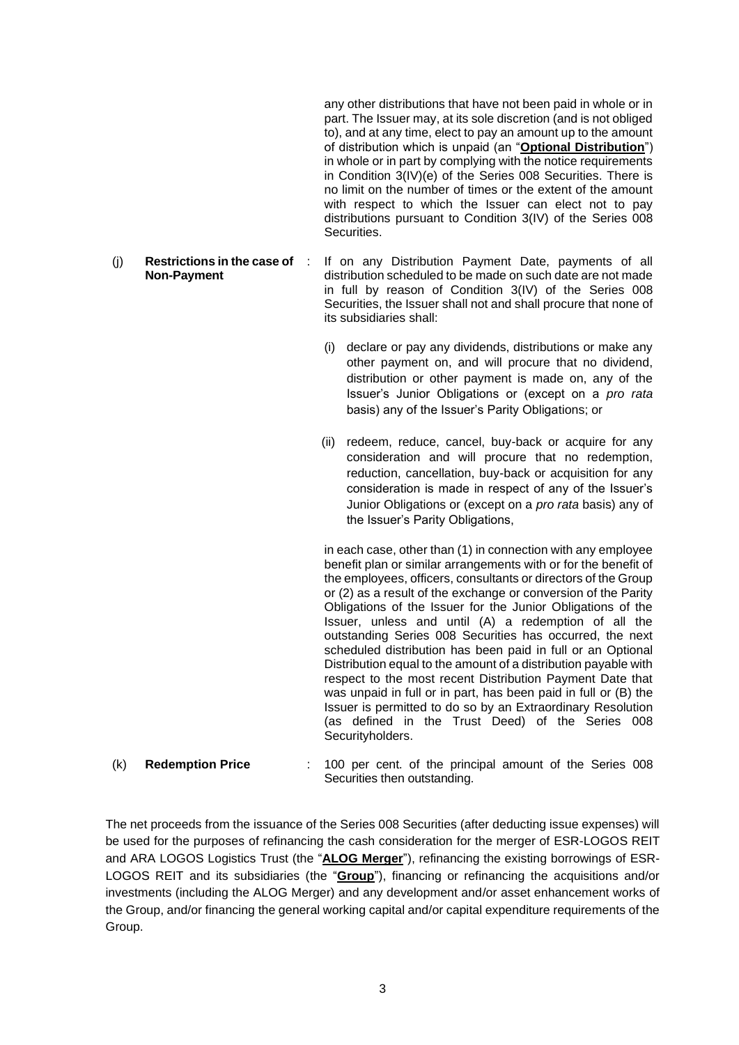any other distributions that have not been paid in whole or in part. The Issuer may, at its sole discretion (and is not obliged to), and at any time, elect to pay an amount up to the amount of distribution which is unpaid (an "**Optional Distribution**") in whole or in part by complying with the notice requirements in Condition 3(IV)(e) of the Series 008 Securities. There is no limit on the number of times or the extent of the amount with respect to which the Issuer can elect not to pay distributions pursuant to Condition 3(IV) of the Series 008 Securities.

- (j) **Restrictions in the case of Non-Payment** If on any Distribution Payment Date, payments of all distribution scheduled to be made on such date are not made in full by reason of Condition 3(IV) of the Series 008 Securities, the Issuer shall not and shall procure that none of its subsidiaries shall:
	- (i) declare or pay any dividends, distributions or make any other payment on, and will procure that no dividend, distribution or other payment is made on, any of the Issuer's Junior Obligations or (except on a *pro rata*  basis) any of the Issuer's Parity Obligations; or
	- (ii) redeem, reduce, cancel, buy-back or acquire for any consideration and will procure that no redemption, reduction, cancellation, buy-back or acquisition for any consideration is made in respect of any of the Issuer's Junior Obligations or (except on a *pro rata* basis) any of the Issuer's Parity Obligations,

in each case, other than (1) in connection with any employee benefit plan or similar arrangements with or for the benefit of the employees, officers, consultants or directors of the Group or (2) as a result of the exchange or conversion of the Parity Obligations of the Issuer for the Junior Obligations of the Issuer, unless and until (A) a redemption of all the outstanding Series 008 Securities has occurred, the next scheduled distribution has been paid in full or an Optional Distribution equal to the amount of a distribution payable with respect to the most recent Distribution Payment Date that was unpaid in full or in part, has been paid in full or (B) the Issuer is permitted to do so by an Extraordinary Resolution (as defined in the Trust Deed) of the Series 008 Securityholders.

(k) **Redemption Price** : 100 per cent. of the principal amount of the Series 008 Securities then outstanding.

The net proceeds from the issuance of the Series 008 Securities (after deducting issue expenses) will be used for the purposes of refinancing the cash consideration for the merger of ESR-LOGOS REIT and ARA LOGOS Logistics Trust (the "**ALOG Merger**"), refinancing the existing borrowings of ESR-LOGOS REIT and its subsidiaries (the "**Group**"), financing or refinancing the acquisitions and/or investments (including the ALOG Merger) and any development and/or asset enhancement works of the Group, and/or financing the general working capital and/or capital expenditure requirements of the Group.

3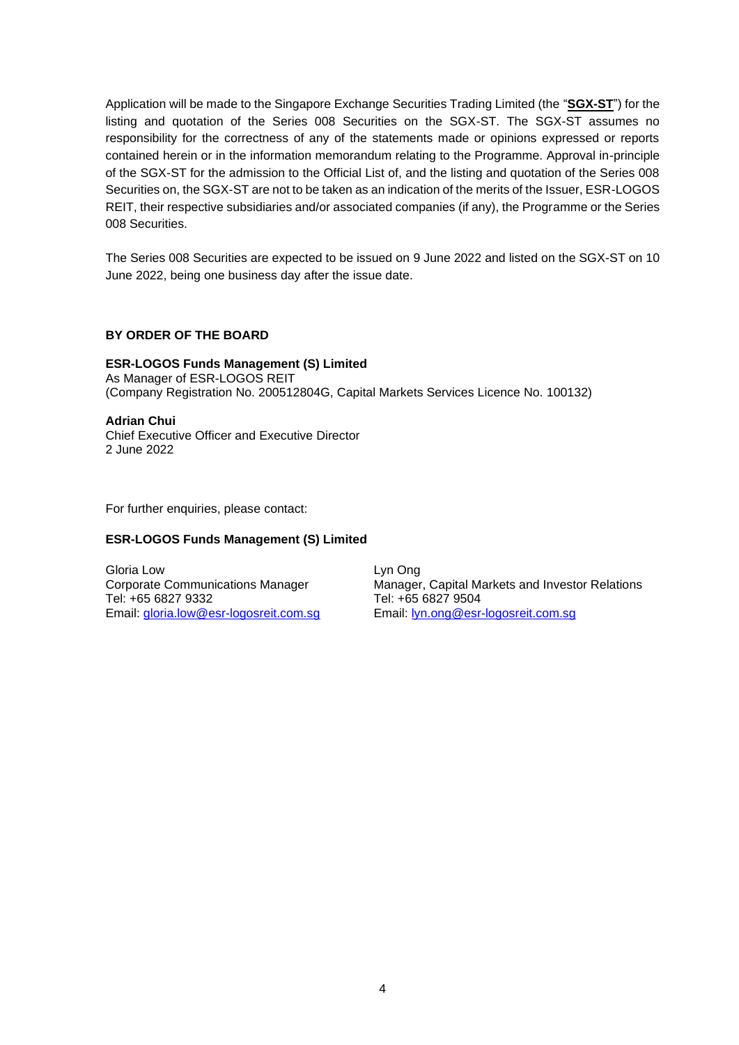Application will be made to the Singapore Exchange Securities Trading Limited (the "**SGX-ST**") for the listing and quotation of the Series 008 Securities on the SGX-ST. The SGX-ST assumes no responsibility for the correctness of any of the statements made or opinions expressed or reports contained herein or in the information memorandum relating to the Programme. Approval in-principle of the SGX-ST for the admission to the Official List of, and the listing and quotation of the Series 008 Securities on, the SGX-ST are not to be taken as an indication of the merits of the Issuer, ESR-LOGOS REIT, their respective subsidiaries and/or associated companies (if any), the Programme or the Series 008 Securities.

The Series 008 Securities are expected to be issued on 9 June 2022 and listed on the SGX-ST on 10 June 2022, being one business day after the issue date.

## **BY ORDER OF THE BOARD**

**ESR-LOGOS Funds Management (S) Limited** As Manager of ESR-LOGOS REIT (Company Registration No. 200512804G, Capital Markets Services Licence No. 100132)

**Adrian Chui** Chief Executive Officer and Executive Director 2 June 2022

For further enquiries, please contact:

### **ESR-LOGOS Funds Management (S) Limited**

Gloria Low Lyn Ong Tel: +65 6827 9332 Tel: +65 6827 9504 Email: [gloria.low@esr-logosreit.com.sg](mailto:gloria.low@esr-logosreit.com.sg) Email: [lyn.ong@esr-logosreit.com.sg](mailto:lyn.ong@esr-logosreit.com.sg)

Corporate Communications Manager Manager, Capital Markets and Investor Relations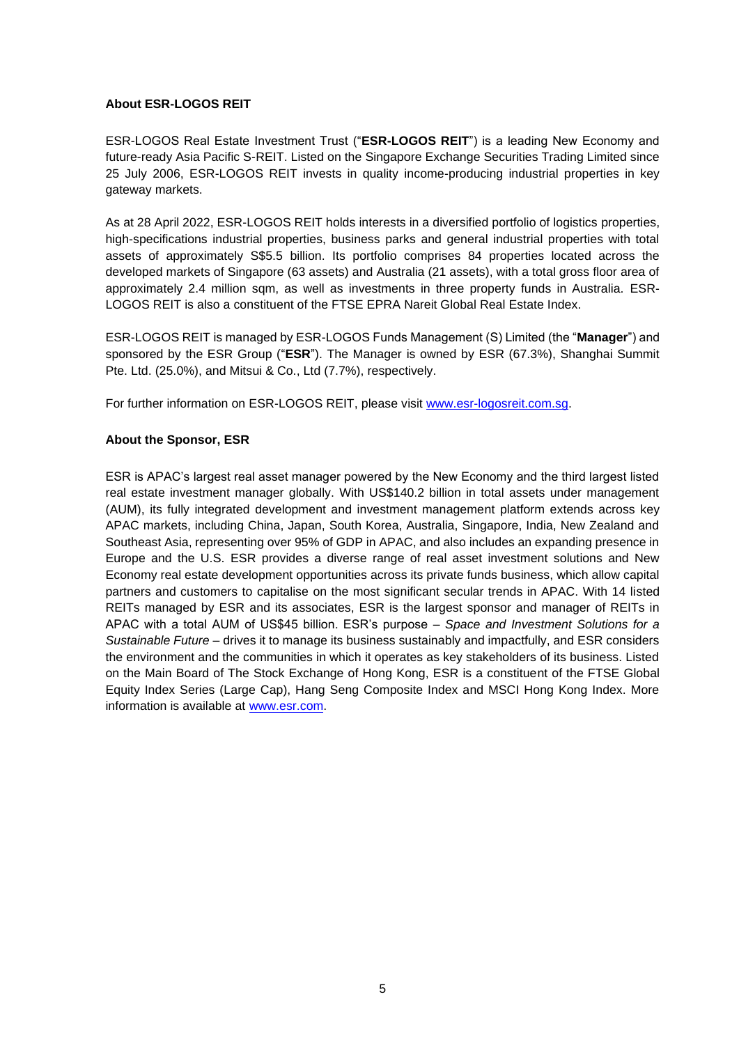# **About ESR-LOGOS REIT**

ESR-LOGOS Real Estate Investment Trust ("**ESR-LOGOS REIT**") is a leading New Economy and future-ready Asia Pacific S-REIT. Listed on the Singapore Exchange Securities Trading Limited since 25 July 2006, ESR-LOGOS REIT invests in quality income-producing industrial properties in key gateway markets.

As at 28 April 2022, ESR-LOGOS REIT holds interests in a diversified portfolio of logistics properties, high-specifications industrial properties, business parks and general industrial properties with total assets of approximately S\$5.5 billion. Its portfolio comprises 84 properties located across the developed markets of Singapore (63 assets) and Australia (21 assets), with a total gross floor area of approximately 2.4 million sqm, as well as investments in three property funds in Australia. ESR-LOGOS REIT is also a constituent of the FTSE EPRA Nareit Global Real Estate Index.

ESR-LOGOS REIT is managed by ESR-LOGOS Funds Management (S) Limited (the "**Manager**") and sponsored by the ESR Group ("**ESR**"). The Manager is owned by ESR (67.3%), Shanghai Summit Pte. Ltd. (25.0%), and Mitsui & Co., Ltd (7.7%), respectively.

For further information on ESR-LOGOS REIT, please visit [www.esr-logosreit.com.sg.](http://www.esr-logosreit.com.sg/)

## **About the Sponsor, ESR**

ESR is APAC's largest real asset manager powered by the New Economy and the third largest listed real estate investment manager globally. With US\$140.2 billion in total assets under management (AUM), its fully integrated development and investment management platform extends across key APAC markets, including China, Japan, South Korea, Australia, Singapore, India, New Zealand and Southeast Asia, representing over 95% of GDP in APAC, and also includes an expanding presence in Europe and the U.S. ESR provides a diverse range of real asset investment solutions and New Economy real estate development opportunities across its private funds business, which allow capital partners and customers to capitalise on the most significant secular trends in APAC. With 14 listed REITs managed by ESR and its associates, ESR is the largest sponsor and manager of REITs in APAC with a total AUM of US\$45 billion. ESR's purpose – *Space and Investment Solutions for a Sustainable Future* – drives it to manage its business sustainably and impactfully, and ESR considers the environment and the communities in which it operates as key stakeholders of its business. Listed on the Main Board of The Stock Exchange of Hong Kong, ESR is a constituent of the FTSE Global Equity Index Series (Large Cap), Hang Seng Composite Index and MSCI Hong Kong Index. More information is available at [www.esr.com.](http://www.esr.com/)